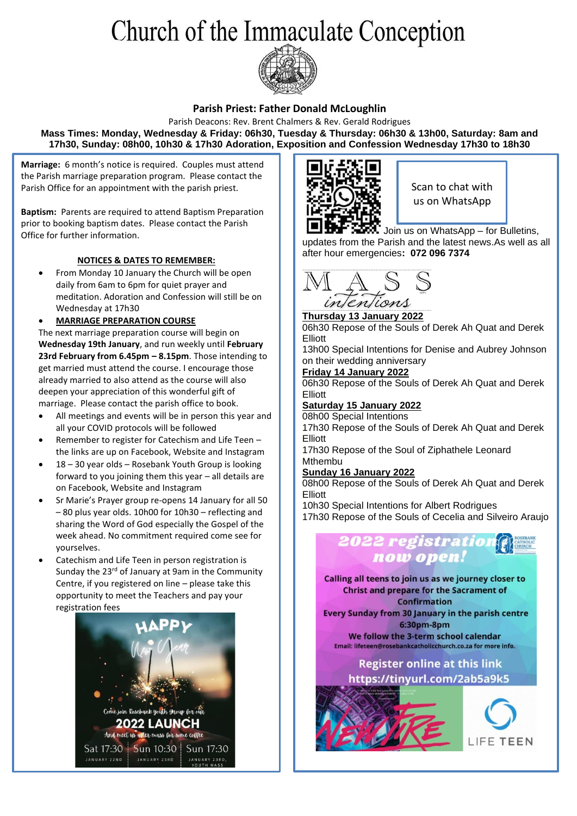# Church of the Immaculate Conception



### **Parish Priest: Father Donald McLoughlin**

Parish Deacons: Rev. Brent Chalmers & Rev. Gerald Rodrigues **Mass Times: Monday, Wednesday & Friday: 06h30, Tuesday & Thursday: 06h30 & 13h00, Saturday: 8am and 17h30, Sunday: 08h00, 10h30 & 17h30 Adoration, Exposition and Confession Wednesday 17h30 to 18h30**

**Marriage:** 6 month's notice is required. Couples must attend the Parish marriage preparation program. Please contact the Parish Office for an appointment with the parish priest.

**Baptism:** Parents are required to attend Baptism Preparation prior to booking baptism dates. Please contact the Parish Office for further information.

### **NOTICES & DATES TO REMEMBER:**

• From Monday 10 January the Church will be open daily from 6am to 6pm for quiet prayer and meditation. Adoration and Confession will still be on Wednesday at 17h30

• **MARRIAGE PREPARATION COURSE**

The next marriage preparation course will begin on **Wednesday 19th January**, and run weekly until **February 23rd February from 6.45pm – 8.15pm**. Those intending to get married must attend the course. I encourage those already married to also attend as the course will also deepen your appreciation of this wonderful gift of marriage. Please contact the parish office to book.

- All meetings and events will be in person this year and all your COVID protocols will be followed
- Remember to register for Catechism and Life Teen the links are up on Facebook, Website and Instagram
- 18 30 year olds Rosebank Youth Group is looking forward to you joining them this year – all details are on Facebook, Website and Instagram
- Sr Marie's Prayer group re-opens 14 January for all 50 – 80 plus year olds. 10h00 for 10h30 – reflecting and sharing the Word of God especially the Gospel of the week ahead. No commitment required come see for yourselves.
- Catechism and Life Teen in person registration is Sunday the 23<sup>rd</sup> of January at 9am in the Community Centre, if you registered on line – please take this opportunity to meet the Teachers and pay your registration fees





Scan to chat with us on WhatsApp

Join us on WhatsApp – for Bulletins, updates from the Parish and the latest news.As well as all after hour emergencies**: 072 096 7374**



**Thursday 13 January 2022** 06h30 Repose of the Souls of Derek Ah Quat and Derek Elliott

13h00 Special Intentions for Denise and Aubrey Johnson on their wedding anniversary

#### **Friday 14 January 2022**

06h30 Repose of the Souls of Derek Ah Quat and Derek Elliott

#### **Saturday 15 January 2022** 08h00 Special Intentions

17h30 Repose of the Souls of Derek Ah Quat and Derek Elliott

17h30 Repose of the Soul of Ziphathele Leonard Mthembu

### **Sunday 16 January 2022**

08h00 Repose of the Souls of Derek Ah Quat and Derek Elliott

10h30 Special Intentions for Albert Rodrigues

17h30 Repose of the Souls of Cecelia and Silveiro Araujo



Calling all teens to join us as we journey closer to **Christ and prepare for the Sacrament of Confirmation** 

Every Sunday from 30 January in the parish centre 6:30pm-8pm

We follow the 3-term school calendar Email: lifeteen@rosebankcatholicchurch.co.za for more info.

## **Register online at this link**

https://tinyurl.com/2ab5a9k5